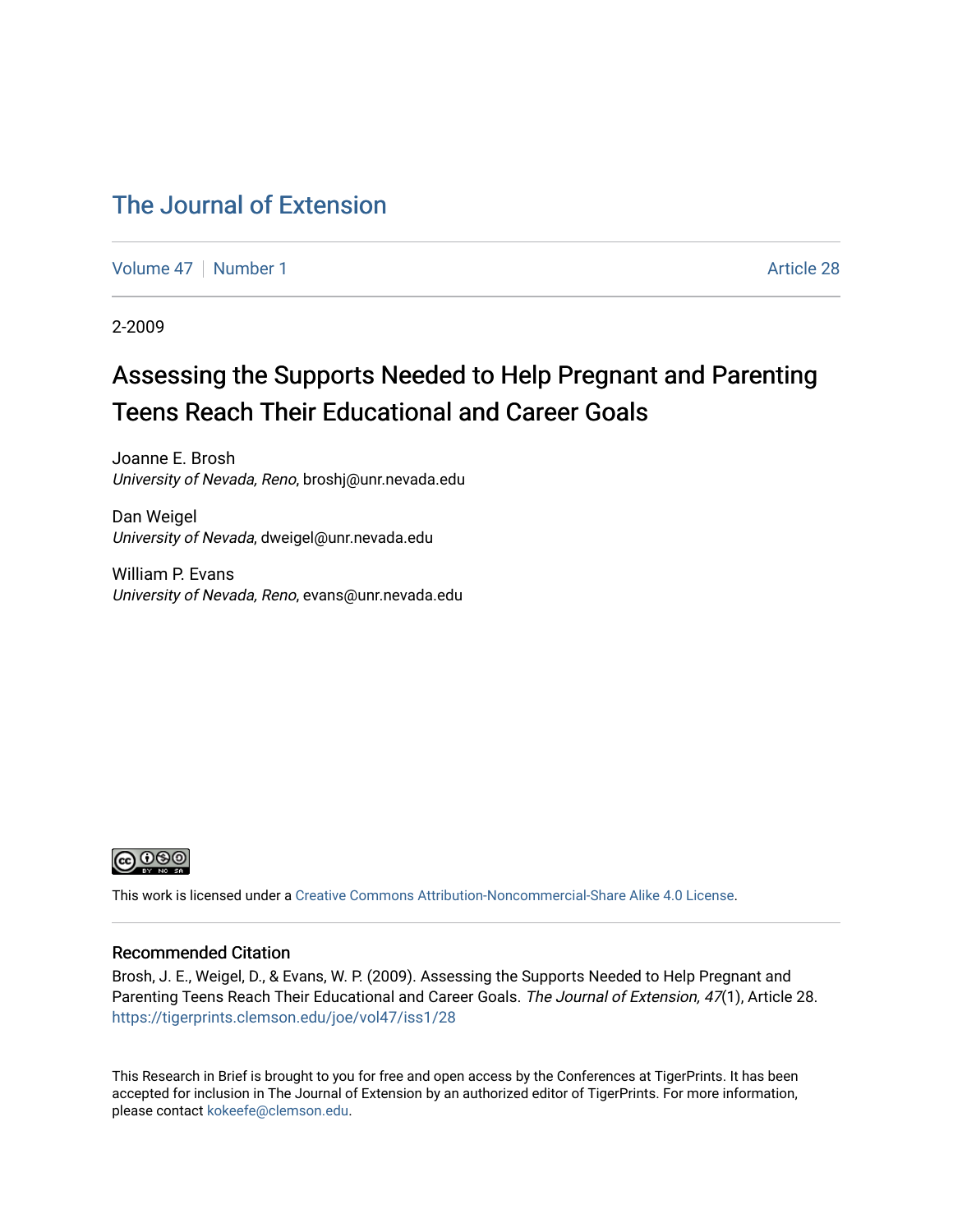### [The Journal of Extension](https://tigerprints.clemson.edu/joe)

[Volume 47](https://tigerprints.clemson.edu/joe/vol47) | [Number 1](https://tigerprints.clemson.edu/joe/vol47/iss1) Article 28

2-2009

# Assessing the Supports Needed to Help Pregnant and Parenting Teens Reach Their Educational and Career Goals

Joanne E. Brosh University of Nevada, Reno, broshj@unr.nevada.edu

Dan Weigel University of Nevada, dweigel@unr.nevada.edu

William P. Evans University of Nevada, Reno, evans@unr.nevada.edu



This work is licensed under a [Creative Commons Attribution-Noncommercial-Share Alike 4.0 License.](https://creativecommons.org/licenses/by-nc-sa/4.0/)

#### Recommended Citation

Brosh, J. E., Weigel, D., & Evans, W. P. (2009). Assessing the Supports Needed to Help Pregnant and Parenting Teens Reach Their Educational and Career Goals. The Journal of Extension, 47(1), Article 28. <https://tigerprints.clemson.edu/joe/vol47/iss1/28>

This Research in Brief is brought to you for free and open access by the Conferences at TigerPrints. It has been accepted for inclusion in The Journal of Extension by an authorized editor of TigerPrints. For more information, please contact [kokeefe@clemson.edu](mailto:kokeefe@clemson.edu).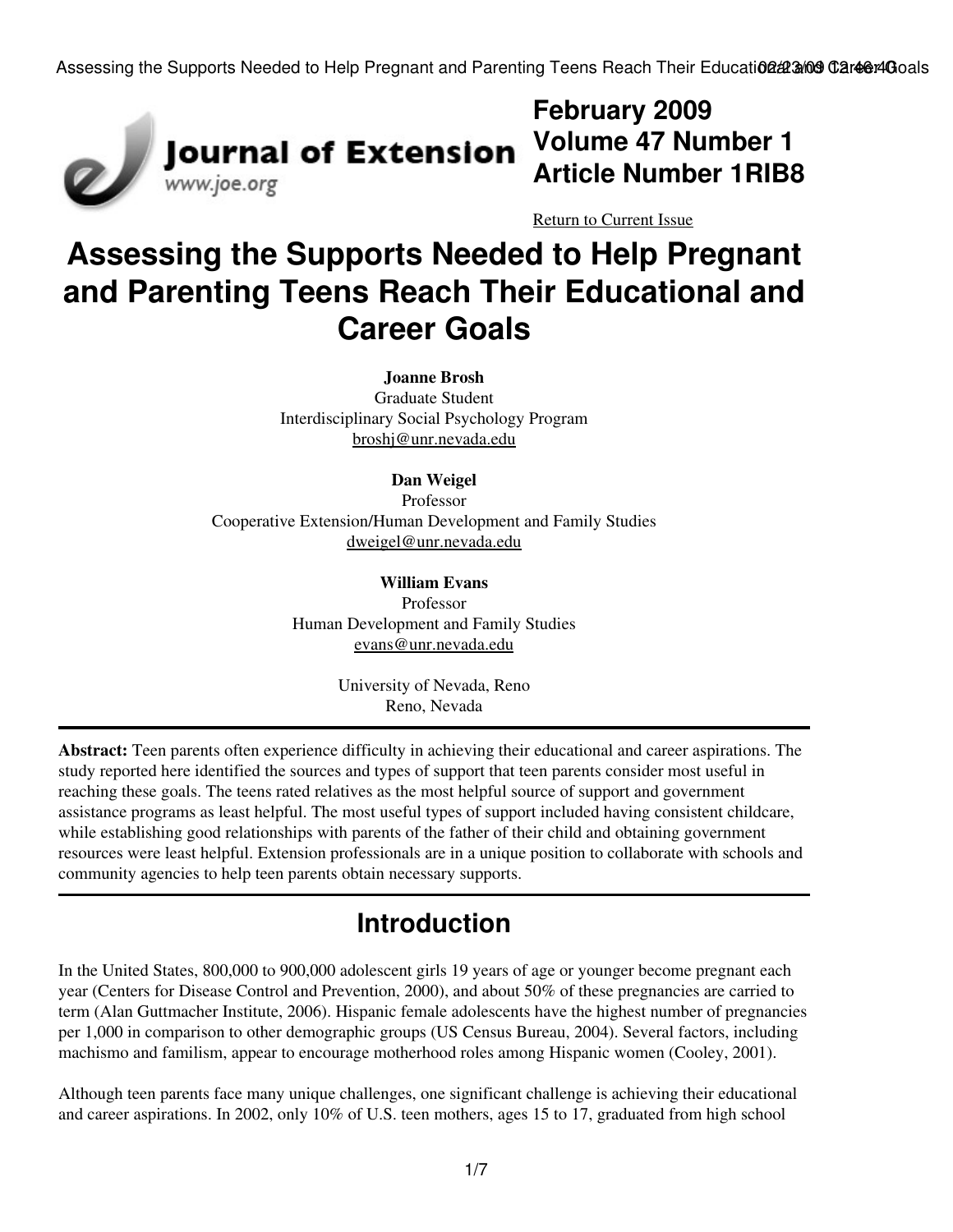

# **February 2009 Volume 47 Number 1 Article Number 1RIB8**

[Return to Current Issue](http://www.joe.org:80/joe/2009february/)

# **Assessing the Supports Needed to Help Pregnant and Parenting Teens Reach Their Educational and Career Goals**

**Joanne Brosh** Graduate Student Interdisciplinary Social Psychology Program [broshj@unr.nevada.edu](mailto:broshj@unr.nevada.edu)

#### **Dan Weigel**

Professor Cooperative Extension/Human Development and Family Studies [dweigel@unr.nevada.edu](mailto:dweigel@unr.nevada.edu)

> **William Evans** Professor Human Development and Family Studies [evans@unr.nevada.edu](mailto:evans@unr.nevada.edu)

> > University of Nevada, Reno Reno, Nevada

**Abstract:** Teen parents often experience difficulty in achieving their educational and career aspirations. The study reported here identified the sources and types of support that teen parents consider most useful in reaching these goals. The teens rated relatives as the most helpful source of support and government assistance programs as least helpful. The most useful types of support included having consistent childcare, while establishing good relationships with parents of the father of their child and obtaining government resources were least helpful. Extension professionals are in a unique position to collaborate with schools and community agencies to help teen parents obtain necessary supports.

# **Introduction**

In the United States, 800,000 to 900,000 adolescent girls 19 years of age or younger become pregnant each year (Centers for Disease Control and Prevention, 2000), and about 50% of these pregnancies are carried to term (Alan Guttmacher Institute, 2006). Hispanic female adolescents have the highest number of pregnancies per 1,000 in comparison to other demographic groups (US Census Bureau, 2004). Several factors, including machismo and familism, appear to encourage motherhood roles among Hispanic women (Cooley, 2001).

Although teen parents face many unique challenges, one significant challenge is achieving their educational and career aspirations. In 2002, only 10% of U.S. teen mothers, ages 15 to 17, graduated from high school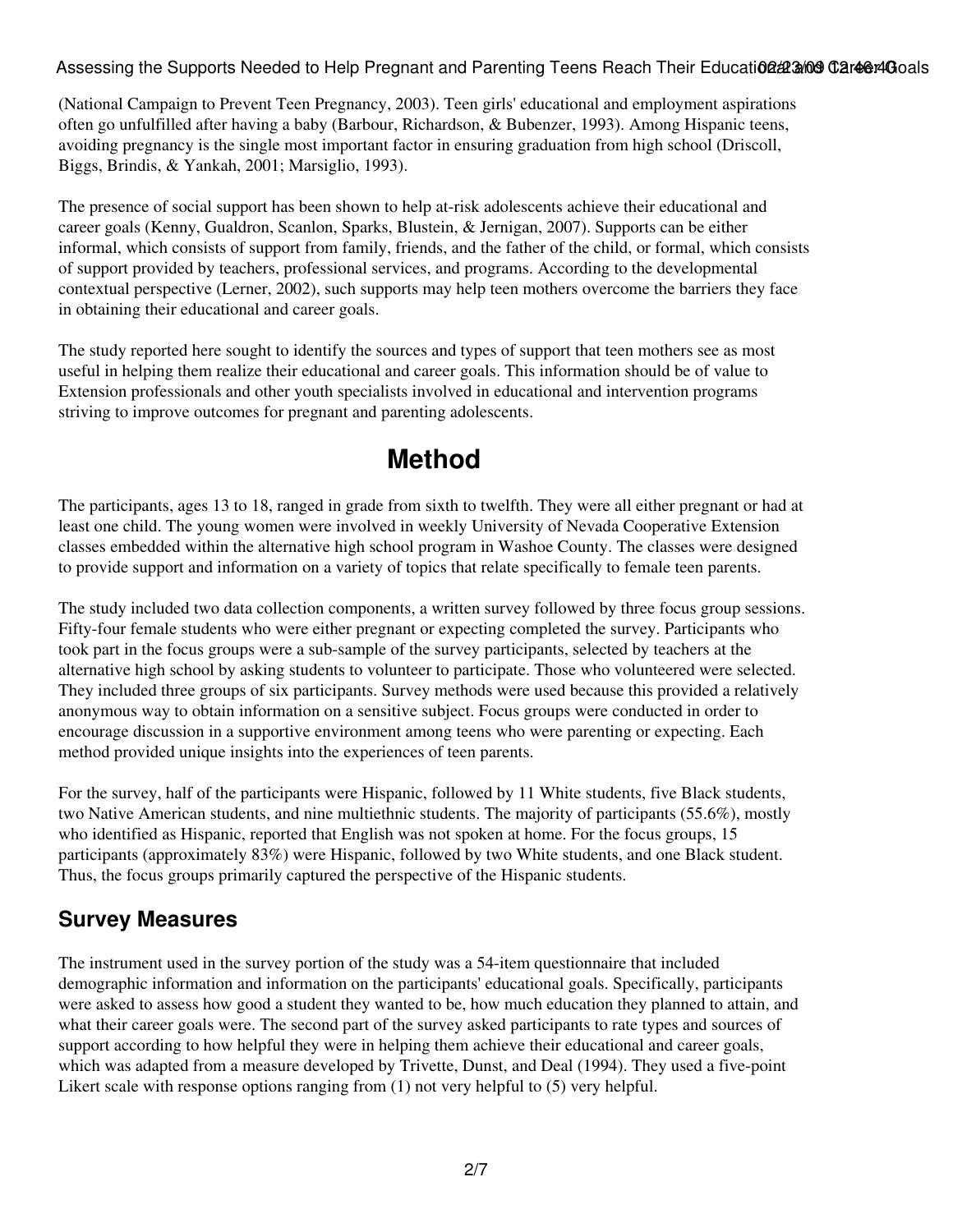(National Campaign to Prevent Teen Pregnancy, 2003). Teen girls' educational and employment aspirations often go unfulfilled after having a baby (Barbour, Richardson, & Bubenzer, 1993). Among Hispanic teens, avoiding pregnancy is the single most important factor in ensuring graduation from high school (Driscoll, Biggs, Brindis, & Yankah, 2001; Marsiglio, 1993).

The presence of social support has been shown to help at-risk adolescents achieve their educational and career goals (Kenny, Gualdron, Scanlon, Sparks, Blustein, & Jernigan, 2007). Supports can be either informal, which consists of support from family, friends, and the father of the child, or formal, which consists of support provided by teachers, professional services, and programs. According to the developmental contextual perspective (Lerner, 2002), such supports may help teen mothers overcome the barriers they face in obtaining their educational and career goals.

The study reported here sought to identify the sources and types of support that teen mothers see as most useful in helping them realize their educational and career goals. This information should be of value to Extension professionals and other youth specialists involved in educational and intervention programs striving to improve outcomes for pregnant and parenting adolescents.

# **Method**

The participants, ages 13 to 18, ranged in grade from sixth to twelfth. They were all either pregnant or had at least one child. The young women were involved in weekly University of Nevada Cooperative Extension classes embedded within the alternative high school program in Washoe County. The classes were designed to provide support and information on a variety of topics that relate specifically to female teen parents.

The study included two data collection components, a written survey followed by three focus group sessions. Fifty-four female students who were either pregnant or expecting completed the survey. Participants who took part in the focus groups were a sub-sample of the survey participants, selected by teachers at the alternative high school by asking students to volunteer to participate. Those who volunteered were selected. They included three groups of six participants. Survey methods were used because this provided a relatively anonymous way to obtain information on a sensitive subject. Focus groups were conducted in order to encourage discussion in a supportive environment among teens who were parenting or expecting. Each method provided unique insights into the experiences of teen parents.

For the survey, half of the participants were Hispanic, followed by 11 White students, five Black students, two Native American students, and nine multiethnic students. The majority of participants (55.6%), mostly who identified as Hispanic, reported that English was not spoken at home. For the focus groups, 15 participants (approximately 83%) were Hispanic, followed by two White students, and one Black student. Thus, the focus groups primarily captured the perspective of the Hispanic students.

#### **Survey Measures**

The instrument used in the survey portion of the study was a 54-item questionnaire that included demographic information and information on the participants' educational goals. Specifically, participants were asked to assess how good a student they wanted to be, how much education they planned to attain, and what their career goals were. The second part of the survey asked participants to rate types and sources of support according to how helpful they were in helping them achieve their educational and career goals, which was adapted from a measure developed by Trivette, Dunst, and Deal (1994). They used a five-point Likert scale with response options ranging from (1) not very helpful to (5) very helpful.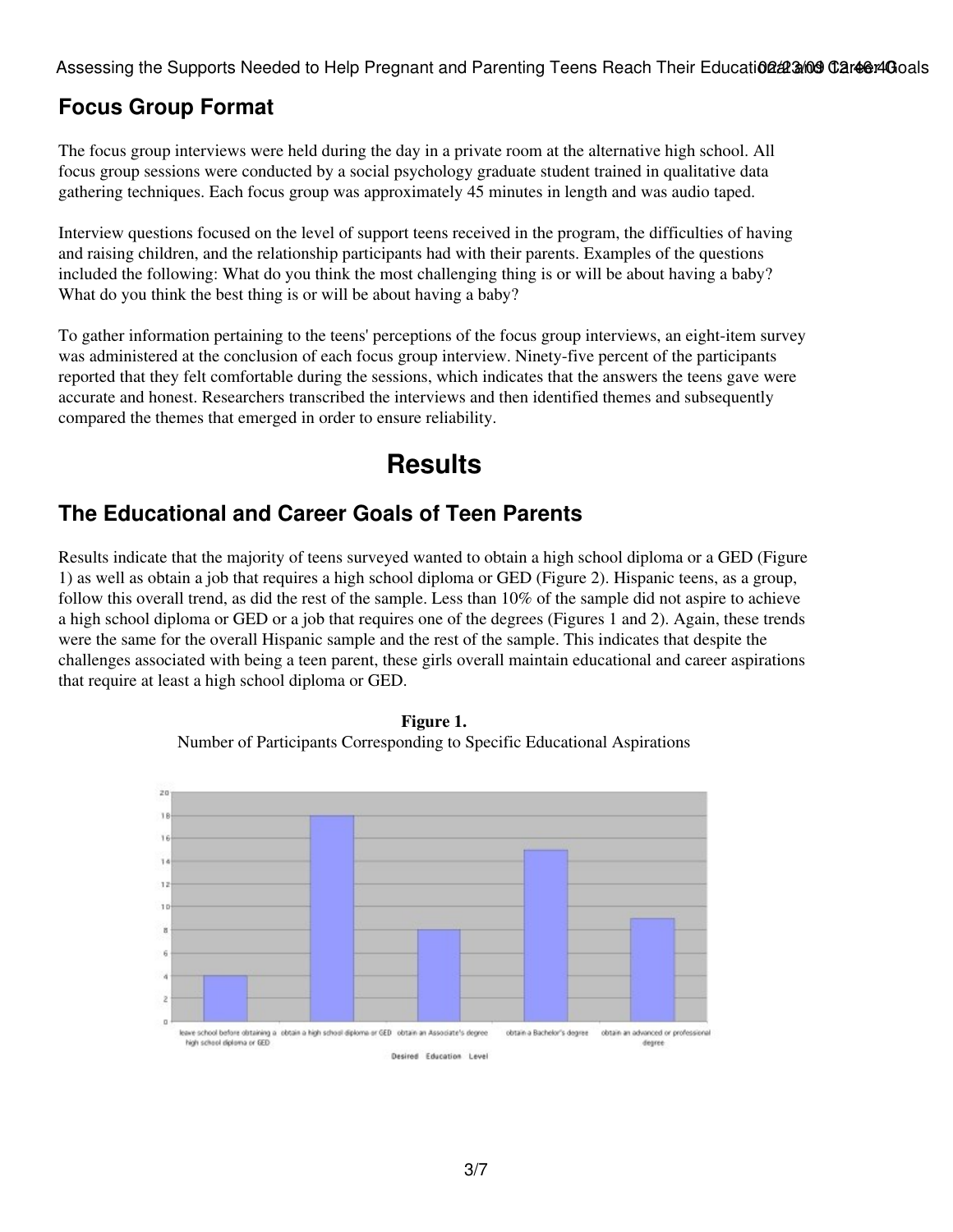### **Focus Group Format**

The focus group interviews were held during the day in a private room at the alternative high school. All focus group sessions were conducted by a social psychology graduate student trained in qualitative data gathering techniques. Each focus group was approximately 45 minutes in length and was audio taped.

Interview questions focused on the level of support teens received in the program, the difficulties of having and raising children, and the relationship participants had with their parents. Examples of the questions included the following: What do you think the most challenging thing is or will be about having a baby? What do you think the best thing is or will be about having a baby?

To gather information pertaining to the teens' perceptions of the focus group interviews, an eight-item survey was administered at the conclusion of each focus group interview. Ninety-five percent of the participants reported that they felt comfortable during the sessions, which indicates that the answers the teens gave were accurate and honest. Researchers transcribed the interviews and then identified themes and subsequently compared the themes that emerged in order to ensure reliability.

# **Results**

#### **The Educational and Career Goals of Teen Parents**

Results indicate that the majority of teens surveyed wanted to obtain a high school diploma or a GED (Figure 1) as well as obtain a job that requires a high school diploma or GED (Figure 2). Hispanic teens, as a group, follow this overall trend, as did the rest of the sample. Less than 10% of the sample did not aspire to achieve a high school diploma or GED or a job that requires one of the degrees (Figures 1 and 2). Again, these trends were the same for the overall Hispanic sample and the rest of the sample. This indicates that despite the challenges associated with being a teen parent, these girls overall maintain educational and career aspirations that require at least a high school diploma or GED.



**Figure 1.** Number of Participants Corresponding to Specific Educational Aspirations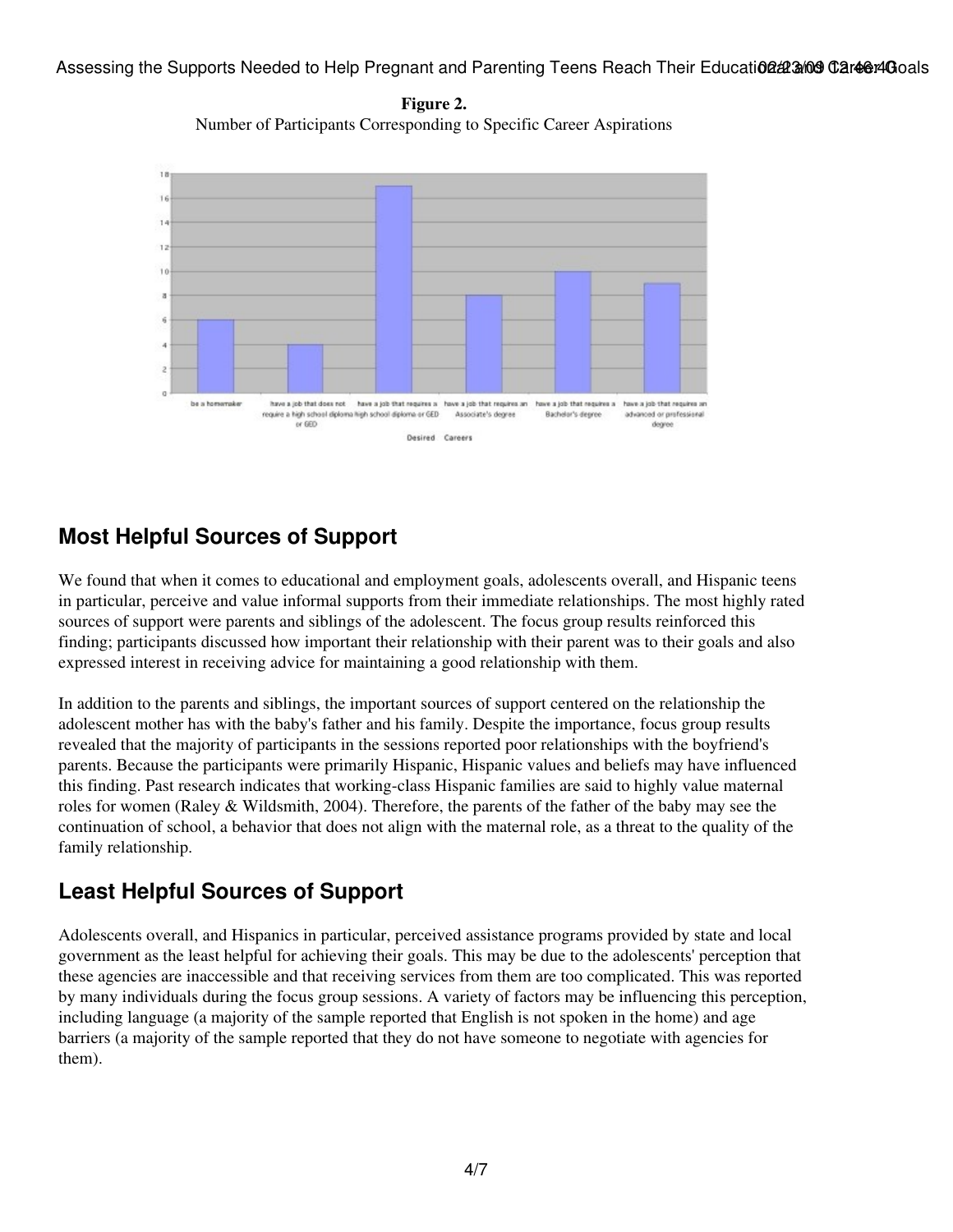**Figure 2.** Number of Participants Corresponding to Specific Career Aspirations



### **Most Helpful Sources of Support**

We found that when it comes to educational and employment goals, adolescents overall, and Hispanic teens in particular, perceive and value informal supports from their immediate relationships. The most highly rated sources of support were parents and siblings of the adolescent. The focus group results reinforced this finding; participants discussed how important their relationship with their parent was to their goals and also expressed interest in receiving advice for maintaining a good relationship with them.

In addition to the parents and siblings, the important sources of support centered on the relationship the adolescent mother has with the baby's father and his family. Despite the importance, focus group results revealed that the majority of participants in the sessions reported poor relationships with the boyfriend's parents. Because the participants were primarily Hispanic, Hispanic values and beliefs may have influenced this finding. Past research indicates that working-class Hispanic families are said to highly value maternal roles for women (Raley & Wildsmith, 2004). Therefore, the parents of the father of the baby may see the continuation of school, a behavior that does not align with the maternal role, as a threat to the quality of the family relationship.

#### **Least Helpful Sources of Support**

Adolescents overall, and Hispanics in particular, perceived assistance programs provided by state and local government as the least helpful for achieving their goals. This may be due to the adolescents' perception that these agencies are inaccessible and that receiving services from them are too complicated. This was reported by many individuals during the focus group sessions. A variety of factors may be influencing this perception, including language (a majority of the sample reported that English is not spoken in the home) and age barriers (a majority of the sample reported that they do not have someone to negotiate with agencies for them).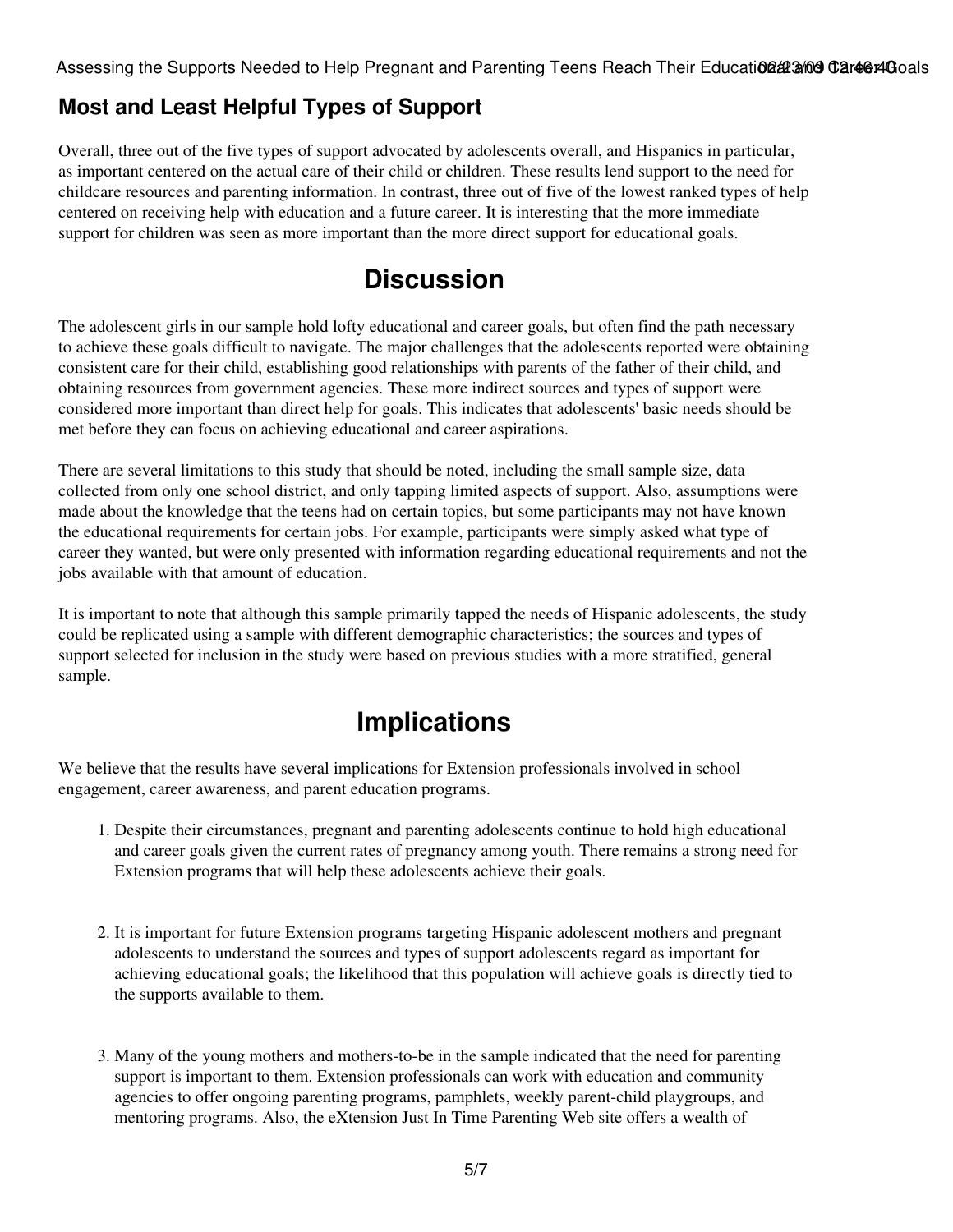### **Most and Least Helpful Types of Support**

Overall, three out of the five types of support advocated by adolescents overall, and Hispanics in particular, as important centered on the actual care of their child or children. These results lend support to the need for childcare resources and parenting information. In contrast, three out of five of the lowest ranked types of help centered on receiving help with education and a future career. It is interesting that the more immediate support for children was seen as more important than the more direct support for educational goals.

# **Discussion**

The adolescent girls in our sample hold lofty educational and career goals, but often find the path necessary to achieve these goals difficult to navigate. The major challenges that the adolescents reported were obtaining consistent care for their child, establishing good relationships with parents of the father of their child, and obtaining resources from government agencies. These more indirect sources and types of support were considered more important than direct help for goals. This indicates that adolescents' basic needs should be met before they can focus on achieving educational and career aspirations.

There are several limitations to this study that should be noted, including the small sample size, data collected from only one school district, and only tapping limited aspects of support. Also, assumptions were made about the knowledge that the teens had on certain topics, but some participants may not have known the educational requirements for certain jobs. For example, participants were simply asked what type of career they wanted, but were only presented with information regarding educational requirements and not the jobs available with that amount of education.

It is important to note that although this sample primarily tapped the needs of Hispanic adolescents, the study could be replicated using a sample with different demographic characteristics; the sources and types of support selected for inclusion in the study were based on previous studies with a more stratified, general sample.

# **Implications**

We believe that the results have several implications for Extension professionals involved in school engagement, career awareness, and parent education programs.

- Despite their circumstances, pregnant and parenting adolescents continue to hold high educational 1. and career goals given the current rates of pregnancy among youth. There remains a strong need for Extension programs that will help these adolescents achieve their goals.
- 2. It is important for future Extension programs targeting Hispanic adolescent mothers and pregnant adolescents to understand the sources and types of support adolescents regard as important for achieving educational goals; the likelihood that this population will achieve goals is directly tied to the supports available to them.
- Many of the young mothers and mothers-to-be in the sample indicated that the need for parenting 3. support is important to them. Extension professionals can work with education and community agencies to offer ongoing parenting programs, pamphlets, weekly parent-child playgroups, and mentoring programs. Also, the eXtension Just In Time Parenting Web site offers a wealth of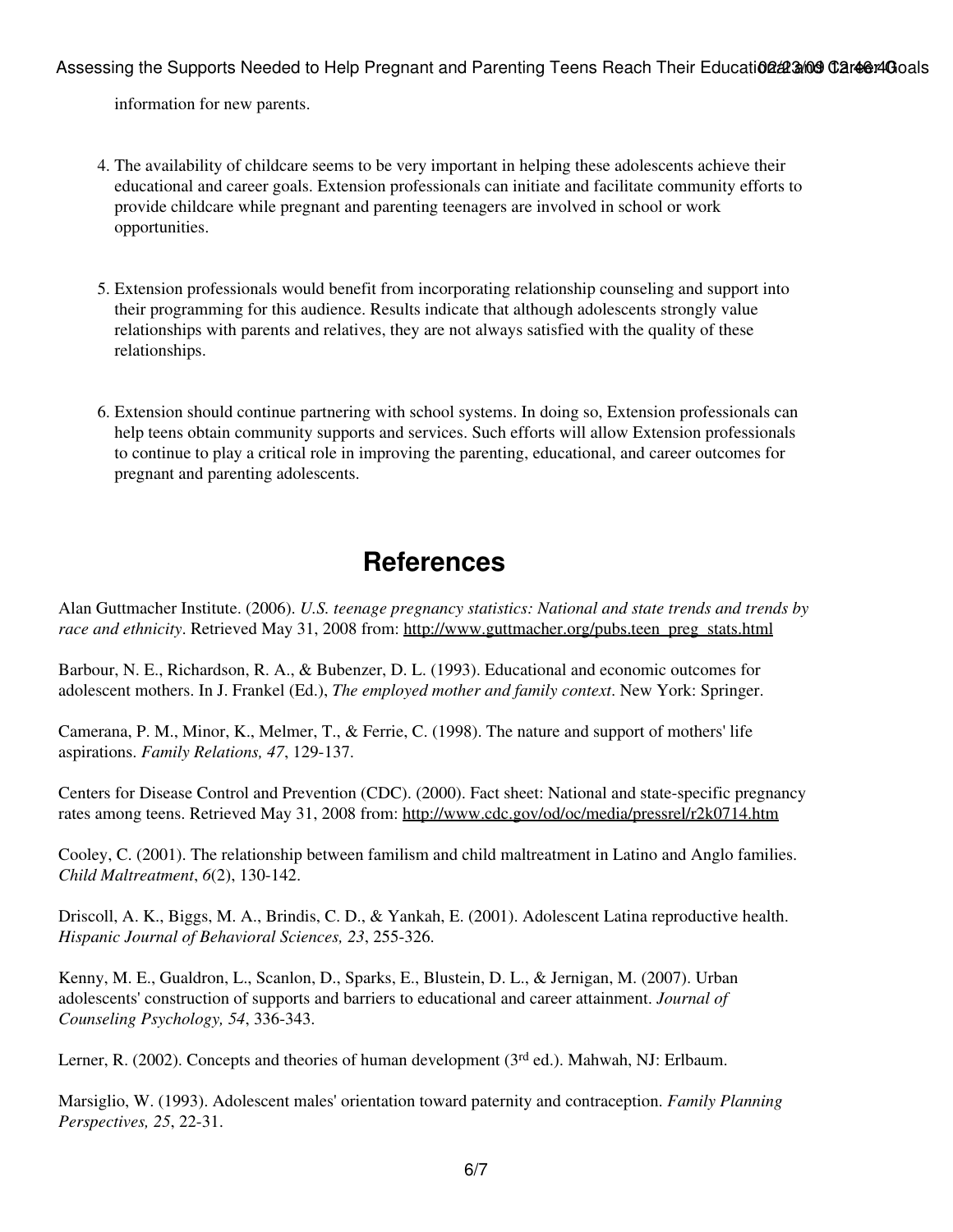information for new parents.

- The availability of childcare seems to be very important in helping these adolescents achieve their 4. educational and career goals. Extension professionals can initiate and facilitate community efforts to provide childcare while pregnant and parenting teenagers are involved in school or work opportunities.
- Extension professionals would benefit from incorporating relationship counseling and support into 5. their programming for this audience. Results indicate that although adolescents strongly value relationships with parents and relatives, they are not always satisfied with the quality of these relationships.
- 6. Extension should continue partnering with school systems. In doing so, Extension professionals can help teens obtain community supports and services. Such efforts will allow Extension professionals to continue to play a critical role in improving the parenting, educational, and career outcomes for pregnant and parenting adolescents.

## **References**

Alan Guttmacher Institute. (2006). *U.S. teenage pregnancy statistics: National and state trends and trends by race and ethnicity*. Retrieved May 31, 2008 from: [http://www.guttmacher.org/pubs.teen\\_preg\\_stats.html](http://www.guttmacher.org/pubs.teen_preg_stats.html)

Barbour, N. E., Richardson, R. A., & Bubenzer, D. L. (1993). Educational and economic outcomes for adolescent mothers. In J. Frankel (Ed.), *The employed mother and family context*. New York: Springer.

Camerana, P. M., Minor, K., Melmer, T., & Ferrie, C. (1998). The nature and support of mothers' life aspirations. *Family Relations, 47*, 129-137.

Centers for Disease Control and Prevention (CDC). (2000). Fact sheet: National and state-specific pregnancy rates among teens. Retrieved May 31, 2008 from: <http://www.cdc.gov/od/oc/media/pressrel/r2k0714.htm>

Cooley, C. (2001). The relationship between familism and child maltreatment in Latino and Anglo families. *Child Maltreatment*, *6*(2), 130-142.

Driscoll, A. K., Biggs, M. A., Brindis, C. D., & Yankah, E. (2001). Adolescent Latina reproductive health. *Hispanic Journal of Behavioral Sciences, 23*, 255-326.

Kenny, M. E., Gualdron, L., Scanlon, D., Sparks, E., Blustein, D. L., & Jernigan, M. (2007). Urban adolescents' construction of supports and barriers to educational and career attainment. *Journal of Counseling Psychology, 54*, 336-343.

Lerner, R. (2002). Concepts and theories of human development (3<sup>rd</sup> ed.). Mahwah, NJ: Erlbaum.

Marsiglio, W. (1993). Adolescent males' orientation toward paternity and contraception. *Family Planning Perspectives, 25*, 22-31.